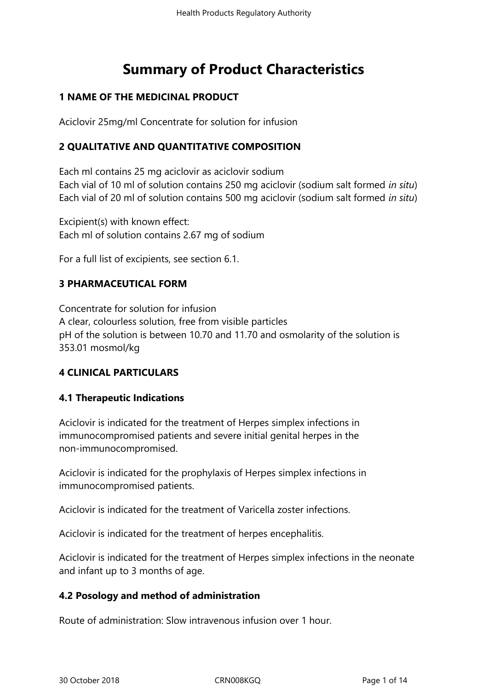# **Summary of Product Characteristics**

# **1 NAME OF THE MEDICINAL PRODUCT**

Aciclovir 25mg/ml Concentrate for solution for infusion

# **2 QUALITATIVE AND QUANTITATIVE COMPOSITION**

Each ml contains 25 mg aciclovir as aciclovir sodium Each vial of 10 ml of solution contains 250 mg aciclovir (sodium salt formed *in situ*) Each vial of 20 ml of solution contains 500 mg aciclovir (sodium salt formed *in situ*)

Excipient(s) with known effect: Each ml of solution contains 2.67 mg of sodium

For a full list of excipients, see section 6.1.

# **3 PHARMACEUTICAL FORM**

Concentrate for solution for infusion A clear, colourless solution, free from visible particles pH of the solution is between 10.70 and 11.70 and osmolarity of the solution is 353.01 mosmol/kg

# **4 CLINICAL PARTICULARS**

# **4.1 Therapeutic Indications**

Aciclovir is indicated for the treatment of Herpes simplex infections in immunocompromised patients and severe initial genital herpes in the non-immunocompromised.

Aciclovir is indicated for the prophylaxis of Herpes simplex infections in immunocompromised patients.

Aciclovir is indicated for the treatment of Varicella zoster infections.

Aciclovir is indicated for the treatment of herpes encephalitis.

Aciclovir is indicated for the treatment of Herpes simplex infections in the neonate and infant up to 3 months of age.

# **4.2 Posology and method of administration**

Route of administration: Slow intravenous infusion over 1 hour.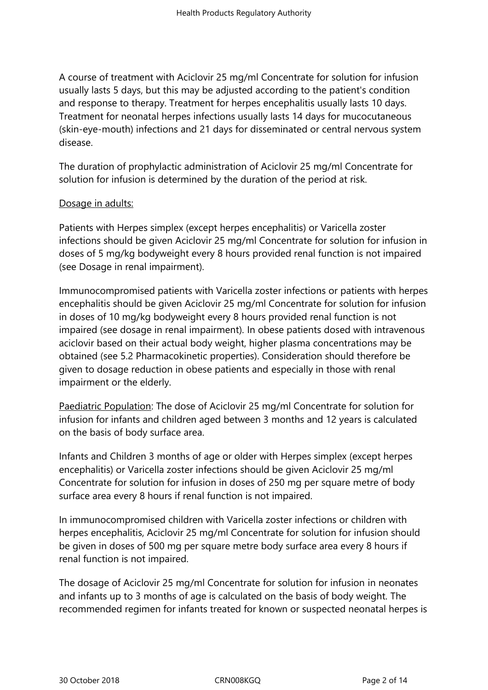A course of treatment with Aciclovir 25 mg/ml Concentrate for solution for infusion usually lasts 5 days, but this may be adjusted according to the patient's condition and response to therapy. Treatment for herpes encephalitis usually lasts 10 days. Treatment for neonatal herpes infections usually lasts 14 days for mucocutaneous (skin-eye-mouth) infections and 21 days for disseminated or central nervous system disease.

The duration of prophylactic administration of Aciclovir 25 mg/ml Concentrate for solution for infusion is determined by the duration of the period at risk.

#### Dosage in adults:

Patients with Herpes simplex (except herpes encephalitis) or Varicella zoster infections should be given Aciclovir 25 mg/ml Concentrate for solution for infusion in doses of 5 mg/kg bodyweight every 8 hours provided renal function is not impaired (see Dosage in renal impairment).

Immunocompromised patients with Varicella zoster infections or patients with herpes encephalitis should be given Aciclovir 25 mg/ml Concentrate for solution for infusion in doses of 10 mg/kg bodyweight every 8 hours provided renal function is not impaired (see dosage in renal impairment). In obese patients dosed with intravenous aciclovir based on their actual body weight, higher plasma concentrations may be obtained (see 5.2 Pharmacokinetic properties). Consideration should therefore be given to dosage reduction in obese patients and especially in those with renal impairment or the elderly.

Paediatric Population: The dose of Aciclovir 25 mg/ml Concentrate for solution for infusion for infants and children aged between 3 months and 12 years is calculated on the basis of body surface area.

Infants and Children 3 months of age or older with Herpes simplex (except herpes encephalitis) or Varicella zoster infections should be given Aciclovir 25 mg/ml Concentrate for solution for infusion in doses of 250 mg per square metre of body surface area every 8 hours if renal function is not impaired.

In immunocompromised children with Varicella zoster infections or children with herpes encephalitis, Aciclovir 25 mg/ml Concentrate for solution for infusion should be given in doses of 500 mg per square metre body surface area every 8 hours if renal function is not impaired.

The dosage of Aciclovir 25 mg/ml Concentrate for solution for infusion in neonates and infants up to 3 months of age is calculated on the basis of body weight. The recommended regimen for infants treated for known or suspected neonatal herpes is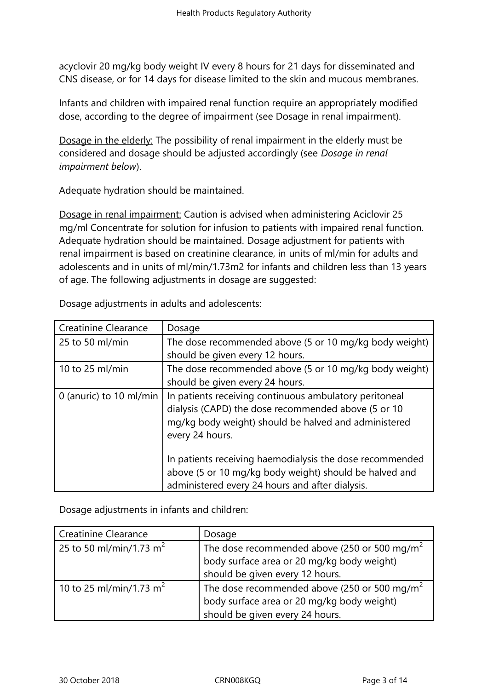acyclovir 20 mg/kg body weight IV every 8 hours for 21 days for disseminated and CNS disease, or for 14 days for disease limited to the skin and mucous membranes.

Infants and children with impaired renal function require an appropriately modified dose, according to the degree of impairment (see Dosage in renal impairment).

Dosage in the elderly: The possibility of renal impairment in the elderly must be considered and dosage should be adjusted accordingly (see *Dosage in renal impairment below*).

Adequate hydration should be maintained.

Dosage in renal impairment: Caution is advised when administering Aciclovir 25 mg/ml Concentrate for solution for infusion to patients with impaired renal function. Adequate hydration should be maintained. Dosage adjustment for patients with renal impairment is based on creatinine clearance, in units of ml/min for adults and adolescents and in units of ml/min/1.73m2 for infants and children less than 13 years of age. The following adjustments in dosage are suggested:

| <b>Creatinine Clearance</b> | Dosage                                                                                                                                                                                   |  |  |
|-----------------------------|------------------------------------------------------------------------------------------------------------------------------------------------------------------------------------------|--|--|
| 25 to 50 ml/min             | The dose recommended above (5 or 10 mg/kg body weight)                                                                                                                                   |  |  |
|                             | should be given every 12 hours.                                                                                                                                                          |  |  |
| 10 to 25 ml/min             | The dose recommended above (5 or 10 mg/kg body weight)                                                                                                                                   |  |  |
|                             | should be given every 24 hours.                                                                                                                                                          |  |  |
| 0 (anuric) to 10 ml/min     | In patients receiving continuous ambulatory peritoneal<br>dialysis (CAPD) the dose recommended above (5 or 10<br>mg/kg body weight) should be halved and administered<br>every 24 hours. |  |  |
|                             | In patients receiving haemodialysis the dose recommended<br>above (5 or 10 mg/kg body weight) should be halved and<br>administered every 24 hours and after dialysis.                    |  |  |

Dosage adjustments in adults and adolescents:

Dosage adjustments in infants and children:

| <b>Creatinine Clearance</b>         | Dosage                                                                                              |  |  |
|-------------------------------------|-----------------------------------------------------------------------------------------------------|--|--|
| 25 to 50 ml/min/1.73 m <sup>2</sup> |                                                                                                     |  |  |
|                                     | The dose recommended above (250 or 500 mg/m <sup>2</sup> body surface area or 20 mg/kg body weight) |  |  |
|                                     | should be given every 12 hours.                                                                     |  |  |
| 10 to 25 ml/min/1.73 m <sup>2</sup> |                                                                                                     |  |  |
|                                     | The dose recommended above (250 or 500 mg/m <sup>2</sup> body surface area or 20 mg/kg body weight) |  |  |
|                                     | should be given every 24 hours.                                                                     |  |  |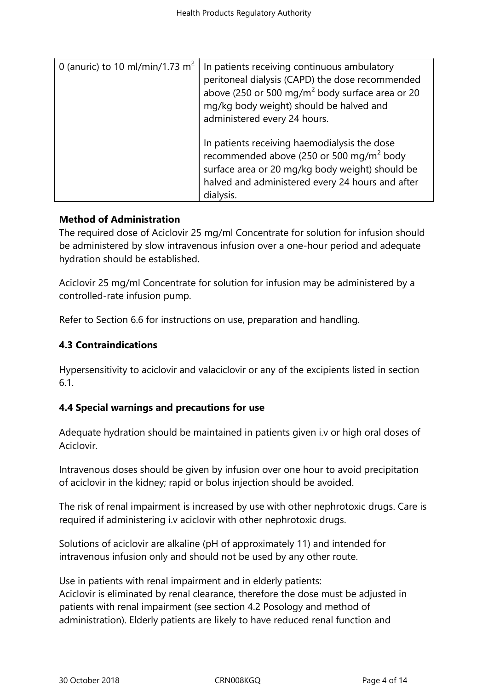| 0 (anuric) to 10 ml/min/1.73 $m2$ | In patients receiving continuous ambulatory<br>peritoneal dialysis (CAPD) the dose recommended<br>above (250 or 500 mg/m <sup>2</sup> body surface area or 20<br>mg/kg body weight) should be halved and<br>administered every 24 hours. |  |
|-----------------------------------|------------------------------------------------------------------------------------------------------------------------------------------------------------------------------------------------------------------------------------------|--|
|                                   | In patients receiving haemodialysis the dose<br>recommended above (250 or 500 mg/m <sup>2</sup> body<br>surface area or 20 mg/kg body weight) should be<br>halved and administered every 24 hours and after<br>dialysis.                 |  |

## **Method of Administration**

The required dose of Aciclovir 25 mg/ml Concentrate for solution for infusion should be administered by slow intravenous infusion over a one-hour period and adequate hydration should be established.

Aciclovir 25 mg/ml Concentrate for solution for infusion may be administered by a controlled-rate infusion pump.

Refer to Section 6.6 for instructions on use, preparation and handling.

# **4.3 Contraindications**

Hypersensitivity to aciclovir and valaciclovir or any of the excipients listed in section 6.1.

## **4.4 Special warnings and precautions for use**

Adequate hydration should be maintained in patients given i.v or high oral doses of Aciclovir.

Intravenous doses should be given by infusion over one hour to avoid precipitation of aciclovir in the kidney; rapid or bolus injection should be avoided.

The risk of renal impairment is increased by use with other nephrotoxic drugs. Care is required if administering i.v aciclovir with other nephrotoxic drugs.

Solutions of aciclovir are alkaline (pH of approximately 11) and intended for intravenous infusion only and should not be used by any other route.

Use in patients with renal impairment and in elderly patients: Aciclovir is eliminated by renal clearance, therefore the dose must be adjusted in patients with renal impairment (see section 4.2 Posology and method of administration). Elderly patients are likely to have reduced renal function and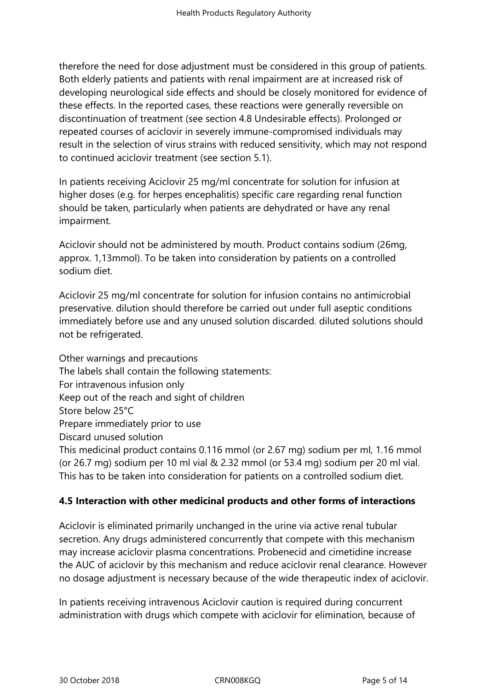therefore the need for dose adjustment must be considered in this group of patients. Both elderly patients and patients with renal impairment are at increased risk of developing neurological side effects and should be closely monitored for evidence of these effects. In the reported cases, these reactions were generally reversible on discontinuation of treatment (see section 4.8 Undesirable effects). Prolonged or repeated courses of aciclovir in severely immune-compromised individuals may result in the selection of virus strains with reduced sensitivity, which may not respond to continued aciclovir treatment (see section 5.1).

In patients receiving Aciclovir 25 mg/ml concentrate for solution for infusion at higher doses (e.g. for herpes encephalitis) specific care regarding renal function should be taken, particularly when patients are dehydrated or have any renal impairment.

Aciclovir should not be administered by mouth. Product contains sodium (26mg, approx. 1,13mmol). To be taken into consideration by patients on a controlled sodium diet.

Aciclovir 25 mg/ml concentrate for solution for infusion contains no antimicrobial preservative. dilution should therefore be carried out under full aseptic conditions immediately before use and any unused solution discarded. diluted solutions should not be refrigerated.

Other warnings and precautions The labels shall contain the following statements: For intravenous infusion only Keep out of the reach and sight of children Store below 25°C Prepare immediately prior to use Discard unused solution This medicinal product contains 0.116 mmol (or 2.67 mg) sodium per ml, 1.16 mmol (or 26.7 mg) sodium per 10 ml vial & 2.32 mmol (or 53.4 mg) sodium per 20 ml vial. This has to be taken into consideration for patients on a controlled sodium diet.

# **4.5 Interaction with other medicinal products and other forms of interactions**

Aciclovir is eliminated primarily unchanged in the urine via active renal tubular secretion. Any drugs administered concurrently that compete with this mechanism may increase aciclovir plasma concentrations. Probenecid and cimetidine increase the AUC of aciclovir by this mechanism and reduce aciclovir renal clearance. However no dosage adjustment is necessary because of the wide therapeutic index of aciclovir.

In patients receiving intravenous Aciclovir caution is required during concurrent administration with drugs which compete with aciclovir for elimination, because of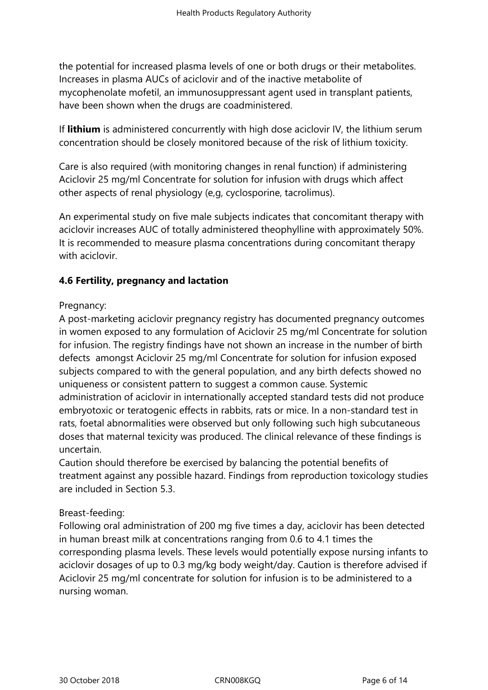the potential for increased plasma levels of one or both drugs or their metabolites. Increases in plasma AUCs of aciclovir and of the inactive metabolite of mycophenolate mofetil, an immunosuppressant agent used in transplant patients, have been shown when the drugs are coadministered.

If **lithium** is administered concurrently with high dose aciclovir IV, the lithium serum concentration should be closely monitored because of the risk of lithium toxicity.

Care is also required (with monitoring changes in renal function) if administering Aciclovir 25 mg/ml Concentrate for solution for infusion with drugs which affect other aspects of renal physiology (e,g, cyclosporine, tacrolimus).

An experimental study on five male subjects indicates that concomitant therapy with aciclovir increases AUC of totally administered theophylline with approximately 50%. It is recommended to measure plasma concentrations during concomitant therapy with aciclovir.

# **4.6 Fertility, pregnancy and lactation**

## Pregnancy:

A post-marketing aciclovir pregnancy registry has documented pregnancy outcomes in women exposed to any formulation of Aciclovir 25 mg/ml Concentrate for solution for infusion. The registry findings have not shown an increase in the number of birth defects amongst Aciclovir 25 mg/ml Concentrate for solution for infusion exposed subjects compared to with the general population, and any birth defects showed no uniqueness or consistent pattern to suggest a common cause. Systemic administration of aciclovir in internationally accepted standard tests did not produce embryotoxic or teratogenic effects in rabbits, rats or mice. In a non-standard test in rats, foetal abnormalities were observed but only following such high subcutaneous doses that maternal texicity was produced. The clinical relevance of these findings is uncertain.

Caution should therefore be exercised by balancing the potential benefits of treatment against any possible hazard. Findings from reproduction toxicology studies are included in Section 5.3.

## Breast-feeding:

Following oral administration of 200 mg five times a day, aciclovir has been detected in human breast milk at concentrations ranging from 0.6 to 4.1 times the corresponding plasma levels. These levels would potentially expose nursing infants to aciclovir dosages of up to 0.3 mg/kg body weight/day. Caution is therefore advised if Aciclovir 25 mg/ml concentrate for solution for infusion is to be administered to a nursing woman.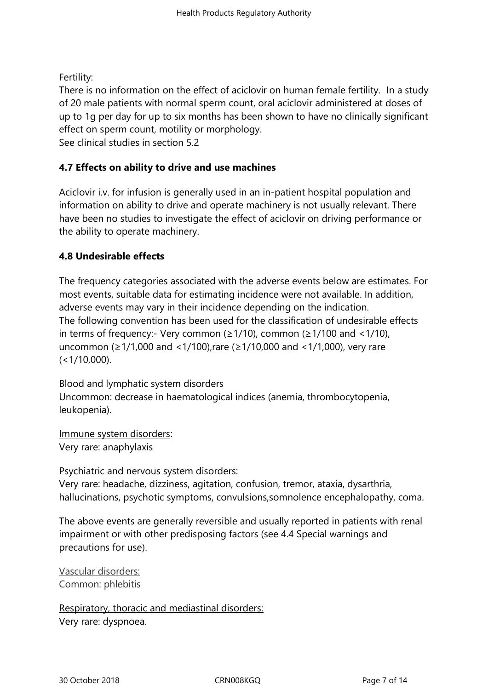Fertility:

There is no information on the effect of aciclovir on human female fertility. In a study of 20 male patients with normal sperm count, oral aciclovir administered at doses of up to 1g per day for up to six months has been shown to have no clinically significant effect on sperm count, motility or morphology.

See clinical studies in section 5.2

# **4.7 Effects on ability to drive and use machines**

Aciclovir i.v. for infusion is generally used in an in-patient hospital population and information on ability to drive and operate machinery is not usually relevant. There have been no studies to investigate the effect of aciclovir on driving performance or the ability to operate machinery.

# **4.8 Undesirable effects**

The frequency categories associated with the adverse events below are estimates. For most events, suitable data for estimating incidence were not available. In addition, adverse events may vary in their incidence depending on the indication. The following convention has been used for the classification of undesirable effects in terms of frequency:- Very common ( $\geq$ 1/10), common ( $\geq$ 1/100 and <1/10), uncommon (≥1/1,000 and <1/100),rare (≥1/10,000 and <1/1,000), very rare  $(<1/10,000)$ .

Blood and lymphatic system disorders Uncommon: decrease in haematological indices (anemia, thrombocytopenia, leukopenia).

Immune system disorders: Very rare: anaphylaxis

Psychiatric and nervous system disorders: Very rare: headache, dizziness, agitation, confusion, tremor, ataxia, dysarthria, hallucinations, psychotic symptoms, convulsions,somnolence encephalopathy, coma.

The above events are generally reversible and usually reported in patients with renal impairment or with other predisposing factors (see 4.4 Special warnings and precautions for use).

Vascular disorders: Common: phlebitis

Respiratory, thoracic and mediastinal disorders: Very rare: dyspnoea.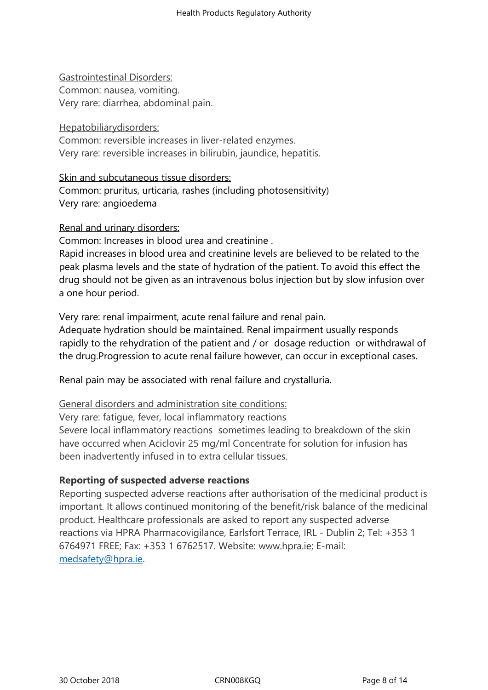## Gastrointestinal Disorders:

Common: nausea, vomiting. Very rare: diarrhea, abdominal pain.

## Hepatobiliarydisorders:

Common: reversible increases in liver-related enzymes. Very rare: reversible increases in bilirubin, jaundice, hepatitis.

## Skin and subcutaneous tissue disorders:

Common: pruritus, urticaria, rashes (including photosensitivity) Very rare: angioedema

## Renal and urinary disorders:

Common: Increases in blood urea and creatinine .

Rapid increases in blood urea and creatinine levels are believed to be related to the peak plasma levels and the state of hydration of the patient. To avoid this effect the drug should not be given as an intravenous bolus injection but by slow infusion over a one hour period.

Very rare: renal impairment, acute renal failure and renal pain.

Adequate hydration should be maintained. Renal impairment usually responds rapidly to the rehydration of the patient and / or dosage reduction or withdrawal of the drug.Progression to acute renal failure however, can occur in exceptional cases.

Renal pain may be associated with renal failure and crystalluria.

### General disorders and administration site conditions:

Very rare: fatigue, fever, local inflammatory reactions

Severe local inflammatory reactions sometimes leading to breakdown of the skin have occurred when Aciclovir 25 mg/ml Concentrate for solution for infusion has been inadvertently infused in to extra cellular tissues.

# **Reporting of suspected adverse reactions**

Reporting suspected adverse reactions after authorisation of the medicinal product is important. It allows continued monitoring of the benefit/risk balance of the medicinal product. Healthcare professionals are asked to report any suspected adverse reactions via HPRA Pharmacovigilance, Earlsfort Terrace, IRL - Dublin 2; Tel: +353 1 6764971 FREE; Fax: +353 1 6762517. Website: www.hpra.ie; E-mail: medsafety@hpra.ie.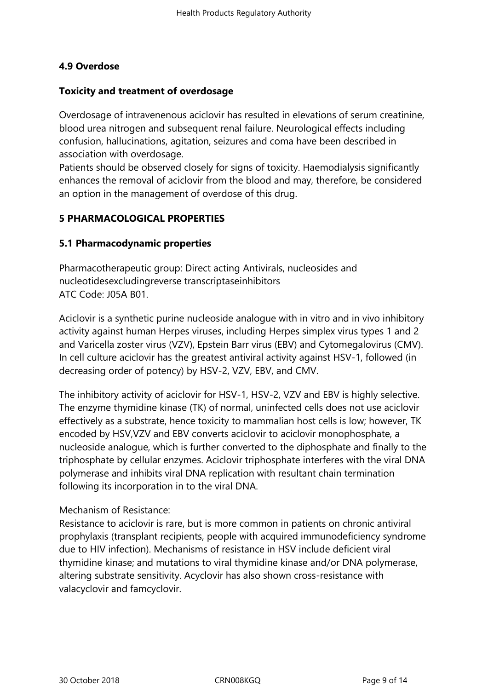# **4.9 Overdose**

## **Toxicity and treatment of overdosage**

Overdosage of intravenenous aciclovir has resulted in elevations of serum creatinine, blood urea nitrogen and subsequent renal failure. Neurological effects including confusion, hallucinations, agitation, seizures and coma have been described in association with overdosage.

Patients should be observed closely for signs of toxicity. Haemodialysis significantly enhances the removal of aciclovir from the blood and may, therefore, be considered an option in the management of overdose of this drug.

# **5 PHARMACOLOGICAL PROPERTIES**

# **5.1 Pharmacodynamic properties**

Pharmacotherapeutic group: Direct acting Antivirals, nucleosides and nucleotidesexcludingreverse transcriptaseinhibitors ATC Code: J05A B01.

Aciclovir is a synthetic purine nucleoside analogue with in vitro and in vivo inhibitory activity against human Herpes viruses, including Herpes simplex virus types 1 and 2 and Varicella zoster virus (VZV), Epstein Barr virus (EBV) and Cytomegalovirus (CMV). In cell culture aciclovir has the greatest antiviral activity against HSV-1, followed (in decreasing order of potency) by HSV-2, VZV, EBV, and CMV.

The inhibitory activity of aciclovir for HSV-1, HSV-2, VZV and EBV is highly selective. The enzyme thymidine kinase (TK) of normal, uninfected cells does not use aciclovir effectively as a substrate, hence toxicity to mammalian host cells is low; however, TK encoded by HSV,VZV and EBV converts aciclovir to aciclovir monophosphate, a nucleoside analogue, which is further converted to the diphosphate and finally to the triphosphate by cellular enzymes. Aciclovir triphosphate interferes with the viral DNA polymerase and inhibits viral DNA replication with resultant chain termination following its incorporation in to the viral DNA.

## Mechanism of Resistance:

Resistance to aciclovir is rare, but is more common in patients on chronic antiviral prophylaxis (transplant recipients, people with acquired immunodeficiency syndrome due to HIV infection). Mechanisms of resistance in HSV include deficient viral thymidine kinase; and mutations to viral thymidine kinase and/or DNA polymerase, altering substrate sensitivity. Acyclovir has also shown cross-resistance with valacyclovir and famcyclovir.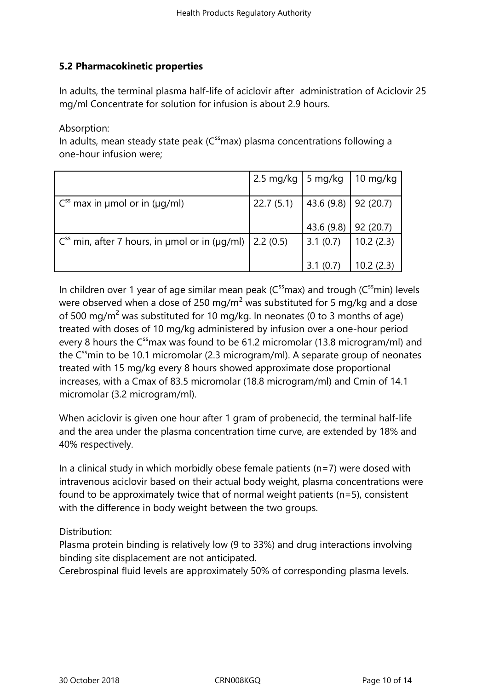# **5.2 Pharmacokinetic properties**

In adults, the terminal plasma half-life of aciclovir after administration of Aciclovir 25 mg/ml Concentrate for solution for infusion is about 2.9 hours.

Absorption:

In adults, mean steady state peak  $(C^{ss}$ max) plasma concentrations following a one-hour infusion were;

|                                                                                     | 2.5 mg/kg   5 mg/kg   10 mg/kg            |                            |              |
|-------------------------------------------------------------------------------------|-------------------------------------------|----------------------------|--------------|
| $\int$ C <sup>ss</sup> max in umol or in ( $\mu$ g/ml)                              | 22.7 (5.1) $\vert$ 43.6 (9.8)   92 (20.7) |                            |              |
|                                                                                     |                                           | 43.6 $(9.8)$   92 $(20.7)$ |              |
| $\vert$ C <sup>ss</sup> min, after 7 hours, in µmol or in (µq/ml) $\vert$ 2.2 (0.5) |                                           | 3.1(0.7)                   | 10.2(2.3)    |
|                                                                                     |                                           | 3.1(0.7)                   | 10.2 $(2.3)$ |

In children over 1 year of age similar mean peak ( $C^{ss}$ max) and trough ( $C^{ss}$ min) levels were observed when a dose of 250 mg/m<sup>2</sup> was substituted for 5 mg/kg and a dose of 500 mg/m<sup>2</sup> was substituted for 10 mg/kg. In neonates (0 to 3 months of age) treated with doses of 10 mg/kg administered by infusion over a one-hour period every 8 hours the  $C^{ss}$  max was found to be 61.2 micromolar (13.8 microgram/ml) and the  $C^{ss}$ min to be 10.1 micromolar (2.3 microgram/ml). A separate group of neonates treated with 15 mg/kg every 8 hours showed approximate dose proportional increases, with a Cmax of 83.5 micromolar (18.8 microgram/ml) and Cmin of 14.1 micromolar (3.2 microgram/ml).

When aciclovir is given one hour after 1 gram of probenecid, the terminal half-life and the area under the plasma concentration time curve, are extended by 18% and 40% respectively.

In a clinical study in which morbidly obese female patients ( $n=7$ ) were dosed with intravenous aciclovir based on their actual body weight, plasma concentrations were found to be approximately twice that of normal weight patients (n=5), consistent with the difference in body weight between the two groups.

Distribution:

Plasma protein binding is relatively low (9 to 33%) and drug interactions involving binding site displacement are not anticipated.

Cerebrospinal fluid levels are approximately 50% of corresponding plasma levels.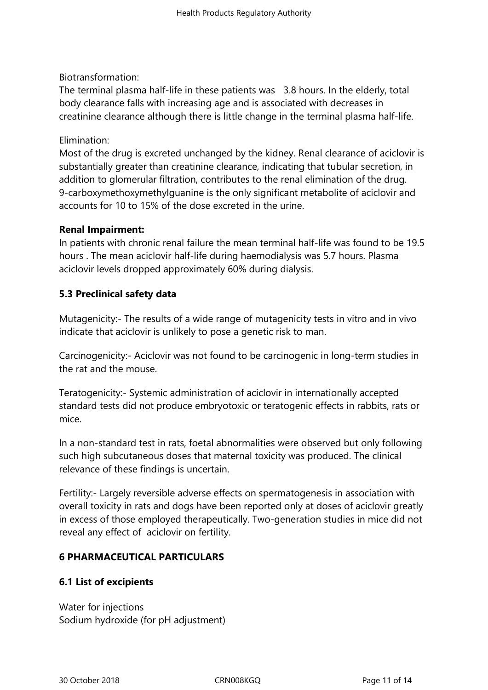# Biotransformation:

The terminal plasma half-life in these patients was 3.8 hours. In the elderly, total body clearance falls with increasing age and is associated with decreases in creatinine clearance although there is little change in the terminal plasma half-life.

## Elimination:

Most of the drug is excreted unchanged by the kidney. Renal clearance of aciclovir is substantially greater than creatinine clearance, indicating that tubular secretion, in addition to glomerular filtration, contributes to the renal elimination of the drug. 9-carboxymethoxymethylguanine is the only significant metabolite of aciclovir and accounts for 10 to 15% of the dose excreted in the urine.

## **Renal Impairment:**

In patients with chronic renal failure the mean terminal half-life was found to be 19.5 hours . The mean aciclovir half-life during haemodialysis was 5.7 hours. Plasma aciclovir levels dropped approximately 60% during dialysis.

# **5.3 Preclinical safety data**

Mutagenicity:- The results of a wide range of mutagenicity tests in vitro and in vivo indicate that aciclovir is unlikely to pose a genetic risk to man.

Carcinogenicity:- Aciclovir was not found to be carcinogenic in long-term studies in the rat and the mouse.

Teratogenicity:- Systemic administration of aciclovir in internationally accepted standard tests did not produce embryotoxic or teratogenic effects in rabbits, rats or mice.

In a non-standard test in rats, foetal abnormalities were observed but only following such high subcutaneous doses that maternal toxicity was produced. The clinical relevance of these findings is uncertain.

Fertility:- Largely reversible adverse effects on spermatogenesis in association with overall toxicity in rats and dogs have been reported only at doses of aciclovir greatly in excess of those employed therapeutically. Two-generation studies in mice did not reveal any effect of aciclovir on fertility.

# **6 PHARMACEUTICAL PARTICULARS**

# **6.1 List of excipients**

Water for injections Sodium hydroxide (for pH adjustment)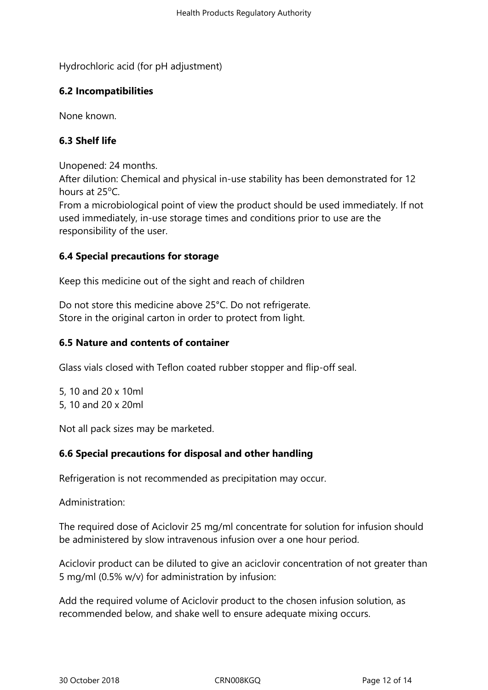Hydrochloric acid (for pH adjustment)

# **6.2 Incompatibilities**

None known.

# **6.3 Shelf life**

Unopened: 24 months.

After dilution: Chemical and physical in-use stability has been demonstrated for 12 hours at 25°C.

From a microbiological point of view the product should be used immediately. If not used immediately, in-use storage times and conditions prior to use are the responsibility of the user.

# **6.4 Special precautions for storage**

Keep this medicine out of the sight and reach of children

Do not store this medicine above 25°C. Do not refrigerate. Store in the original carton in order to protect from light.

# **6.5 Nature and contents of container**

Glass vials closed with Teflon coated rubber stopper and flip-off seal.

5, 10 and 20 x 10ml 5, 10 and 20 x 20ml

Not all pack sizes may be marketed.

# **6.6 Special precautions for disposal and other handling**

Refrigeration is not recommended as precipitation may occur.

Administration:

The required dose of Aciclovir 25 mg/ml concentrate for solution for infusion should be administered by slow intravenous infusion over a one hour period.

Aciclovir product can be diluted to give an aciclovir concentration of not greater than 5 mg/ml (0.5% w/v) for administration by infusion:

Add the required volume of Aciclovir product to the chosen infusion solution, as recommended below, and shake well to ensure adequate mixing occurs.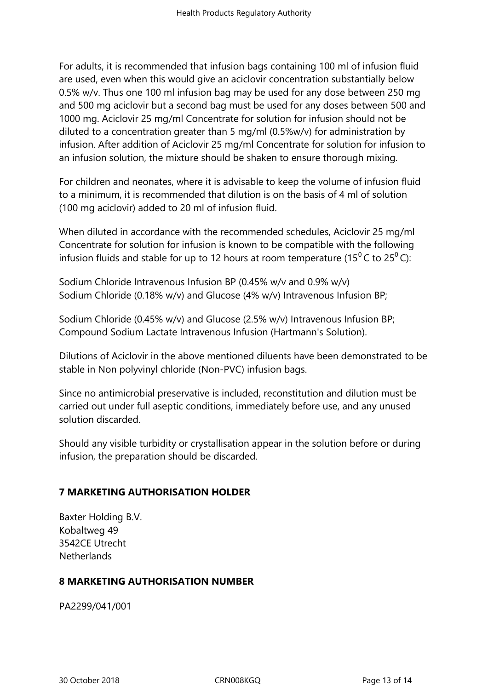For adults, it is recommended that infusion bags containing 100 ml of infusion fluid are used, even when this would give an aciclovir concentration substantially below 0.5% w/v. Thus one 100 ml infusion bag may be used for any dose between 250 mg and 500 mg aciclovir but a second bag must be used for any doses between 500 and 1000 mg. Aciclovir 25 mg/ml Concentrate for solution for infusion should not be diluted to a concentration greater than 5 mg/ml (0.5%w/v) for administration by infusion. After addition of Aciclovir 25 mg/ml Concentrate for solution for infusion to an infusion solution, the mixture should be shaken to ensure thorough mixing.

For children and neonates, where it is advisable to keep the volume of infusion fluid to a minimum, it is recommended that dilution is on the basis of 4 ml of solution (100 mg aciclovir) added to 20 ml of infusion fluid.

When diluted in accordance with the recommended schedules, Aciclovir 25 mg/ml Concentrate for solution for infusion is known to be compatible with the following infusion fluids and stable for up to 12 hours at room temperature (15<sup>0</sup>C to 25<sup>0</sup>C):

Sodium Chloride Intravenous Infusion BP (0.45% w/v and 0.9% w/v) Sodium Chloride (0.18% w/v) and Glucose (4% w/v) Intravenous Infusion BP;

Sodium Chloride (0.45% w/v) and Glucose (2.5% w/v) Intravenous Infusion BP; Compound Sodium Lactate Intravenous Infusion (Hartmann's Solution).

Dilutions of Aciclovir in the above mentioned diluents have been demonstrated to be stable in Non polyvinyl chloride (Non-PVC) infusion bags.

Since no antimicrobial preservative is included, reconstitution and dilution must be carried out under full aseptic conditions, immediately before use, and any unused solution discarded.

Should any visible turbidity or crystallisation appear in the solution before or during infusion, the preparation should be discarded.

# **7 MARKETING AUTHORISATION HOLDER**

Baxter Holding B.V. Kobaltweg 49 3542CE Utrecht Netherlands

## **8 MARKETING AUTHORISATION NUMBER**

PA2299/041/001